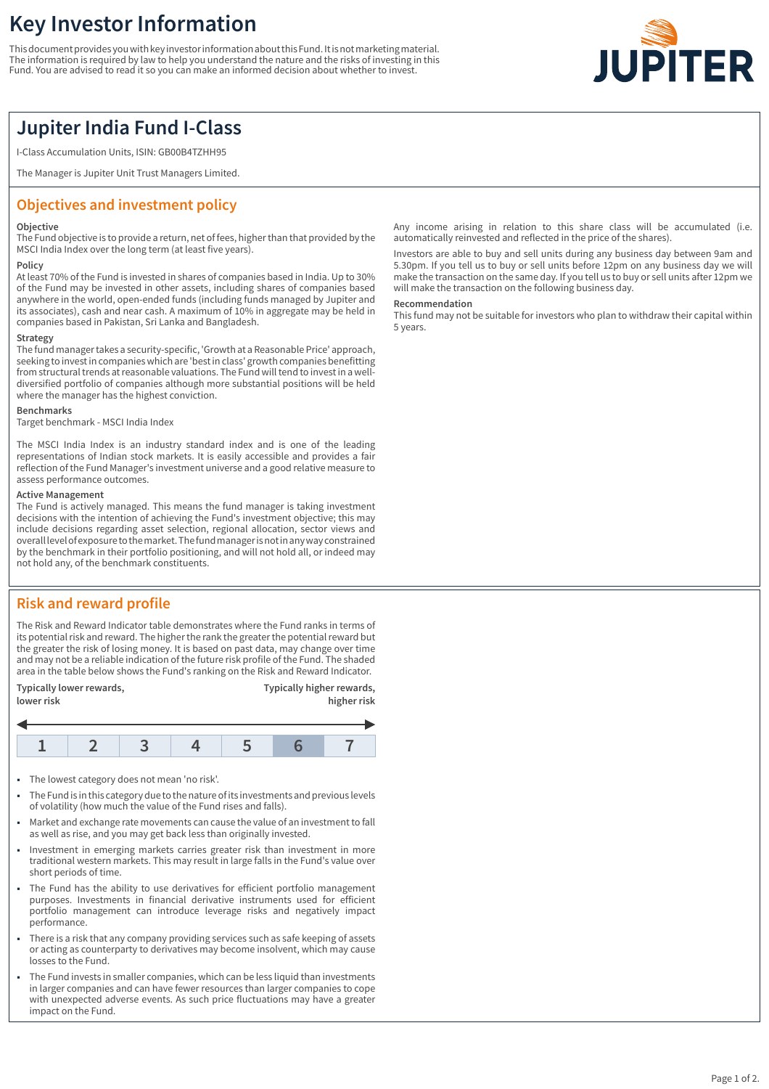# **Key Investor Information**

This document provides you with key investor information about this Fund. It is not marketing material. The information is required by law to help you understand the nature and the risks of investing in this Fund. You are advised to read it so you can make an informed decision about whether to invest.



## **Jupiter India Fund I-Class**

I-Class Accumulation Units, ISIN: GB00B4TZHH95

The Manager is Jupiter Unit Trust Managers Limited.

## **Objectives and investment policy**

#### **Objective**

The Fund objective is to provide a return, net of fees, higher than that provided by the MSCI India Index over the long term (at least five years).

#### **Policy**

At least 70% of the Fund is invested in shares of companies based in India. Up to 30% of the Fund may be invested in other assets, including shares of companies based anywhere in the world, open-ended funds (including funds managed by Jupiter and its associates), cash and near cash. A maximum of 10% in aggregate may be held in companies based in Pakistan, Sri Lanka and Bangladesh.

#### **Strategy**

The fund manager takes a security-specific, 'Growth at a Reasonable Price' approach, seeking to invest in companies which are 'best in class' growth companies benefitting from structural trends at reasonable valuations. The Fund will tend to invest in a welldiversified portfolio of companies although more substantial positions will be held where the manager has the highest conviction.

#### **Benchmarks**

Target benchmark - MSCI India Index

The MSCI India Index is an industry standard index and is one of the leading representations of Indian stock markets. It is easily accessible and provides a fair reflection of the Fund Manager's investment universe and a good relative measure to assess performance outcomes.

#### **Active Management**

The Fund is actively managed. This means the fund manager is taking investment decisions with the intention of achieving the Fund's investment objective; this may include decisions regarding asset selection, regional allocation, sector views and overall level of exposure to the market. The fund manager is not in any way constrained by the benchmark in their portfolio positioning, and will not hold all, or indeed may not hold any, of the benchmark constituents.

## **Risk and reward profile**

The Risk and Reward Indicator table demonstrates where the Fund ranks in terms of its potential risk and reward. The higher the rank the greater the potential reward but the greater the risk of losing money. It is based on past data, may change over time and may not be a reliable indication of the future risk profile of the Fund. The shaded area in the table below shows the Fund's ranking on the Risk and Reward Indicator.

| Typically lower rewards, | Typically higher rewards, |
|--------------------------|---------------------------|
| lower risk               | higher risk               |

- 1 The lowest category does not mean 'no risk'.
- 1 The Fund is in this category due to the nature of its investments and previous levels of volatility (how much the value of the Fund rises and falls).
- Market and exchange rate movements can cause the value of an investment to fall as well as rise, and you may get back less than originally invested.
- 1 Investment in emerging markets carries greater risk than investment in more traditional western markets. This may result in large falls in the Fund's value over short periods of time.
- The Fund has the ability to use derivatives for efficient portfolio management purposes. Investments in financial derivative instruments used for efficient portfolio management can introduce leverage risks and negatively impact performance.
- There is a risk that any company providing services such as safe keeping of assets or acting as counterparty to derivatives may become insolvent, which may cause losses to the Fund.
- 1 The Fund invests in smaller companies, which can be less liquid than investments in larger companies and can have fewer resources than larger companies to cope with unexpected adverse events. As such price fluctuations may have a greater impact on the Fund.

Any income arising in relation to this share class will be accumulated (i.e. automatically reinvested and reflected in the price of the shares).

Investors are able to buy and sell units during any business day between 9am and 5.30pm. If you tell us to buy or sell units before 12pm on any business day we will make the transaction on the same day. If you tell us to buy or sell units after 12pm we will make the transaction on the following business day.

#### **Recommendation**

This fund may not be suitable for investors who plan to withdraw their capital within 5 years.